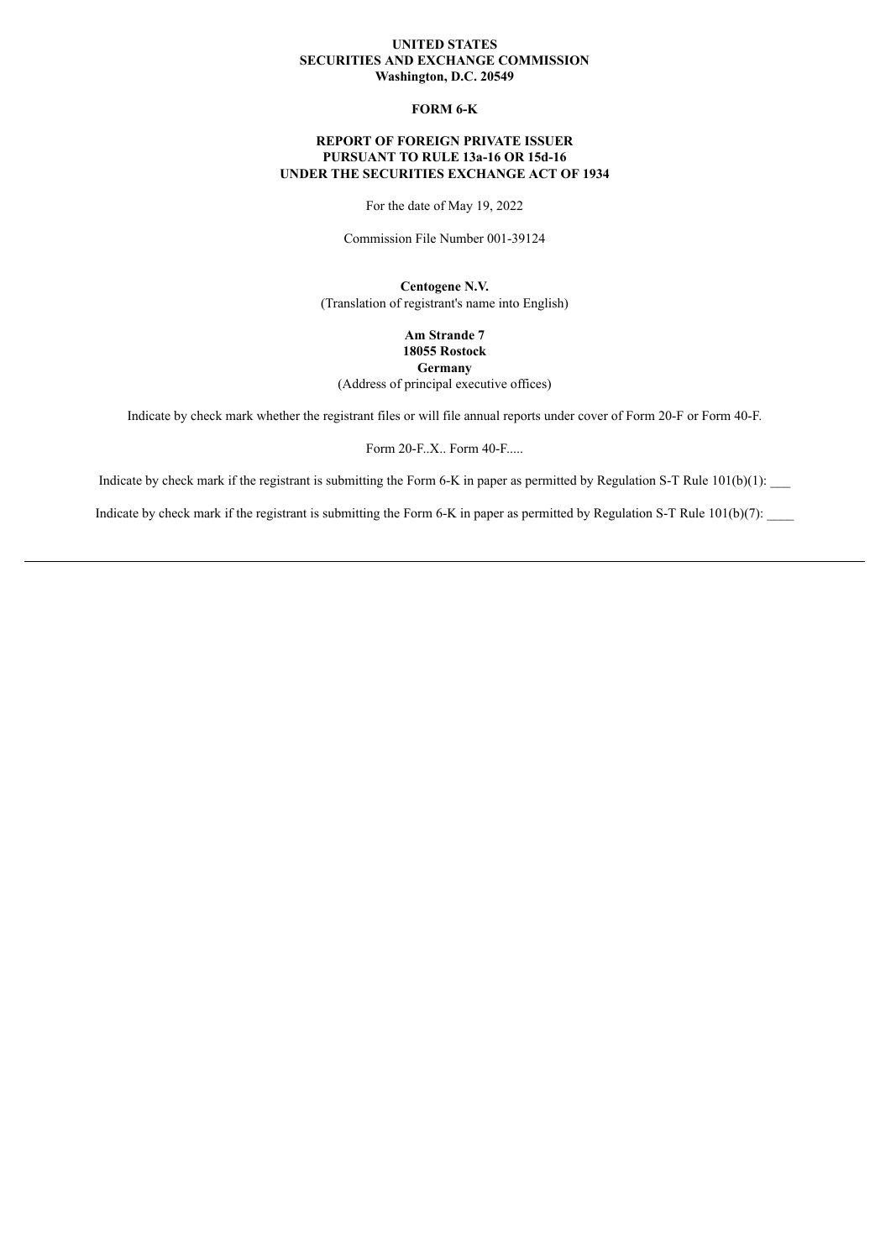#### **UNITED STATES SECURITIES AND EXCHANGE COMMISSION Washington, D.C. 20549**

### **FORM 6-K**

# **REPORT OF FOREIGN PRIVATE ISSUER PURSUANT TO RULE 13a-16 OR 15d-16 UNDER THE SECURITIES EXCHANGE ACT OF 1934**

For the date of May 19, 2022

Commission File Number 001-39124

**Centogene N.V.** (Translation of registrant's name into English)

> **Am Strande 7 18055 Rostock Germany**

(Address of principal executive offices)

Indicate by check mark whether the registrant files or will file annual reports under cover of Form 20-F or Form 40-F.

Form 20-F..X.. Form 40-F.....

Indicate by check mark if the registrant is submitting the Form 6-K in paper as permitted by Regulation S-T Rule  $101(b)(1)$ :

Indicate by check mark if the registrant is submitting the Form 6-K in paper as permitted by Regulation S-T Rule  $101(b)(7)$ :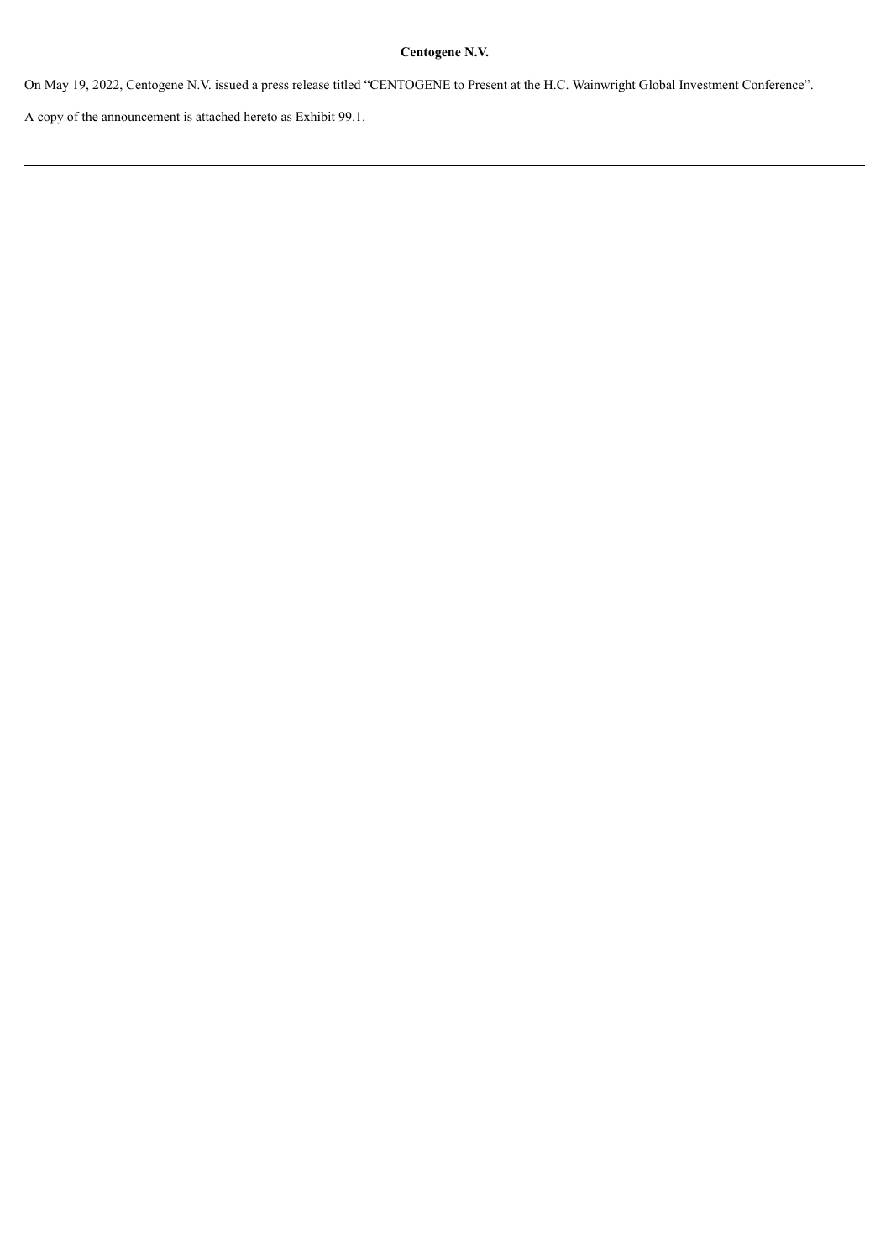# **Centogene N.V.**

On May 19, 2022, Centogene N.V. issued a press release titled "CENTOGENE to Present at the H.C. Wainwright Global Investment Conference".

A copy of the announcement is attached hereto as Exhibit 99.1.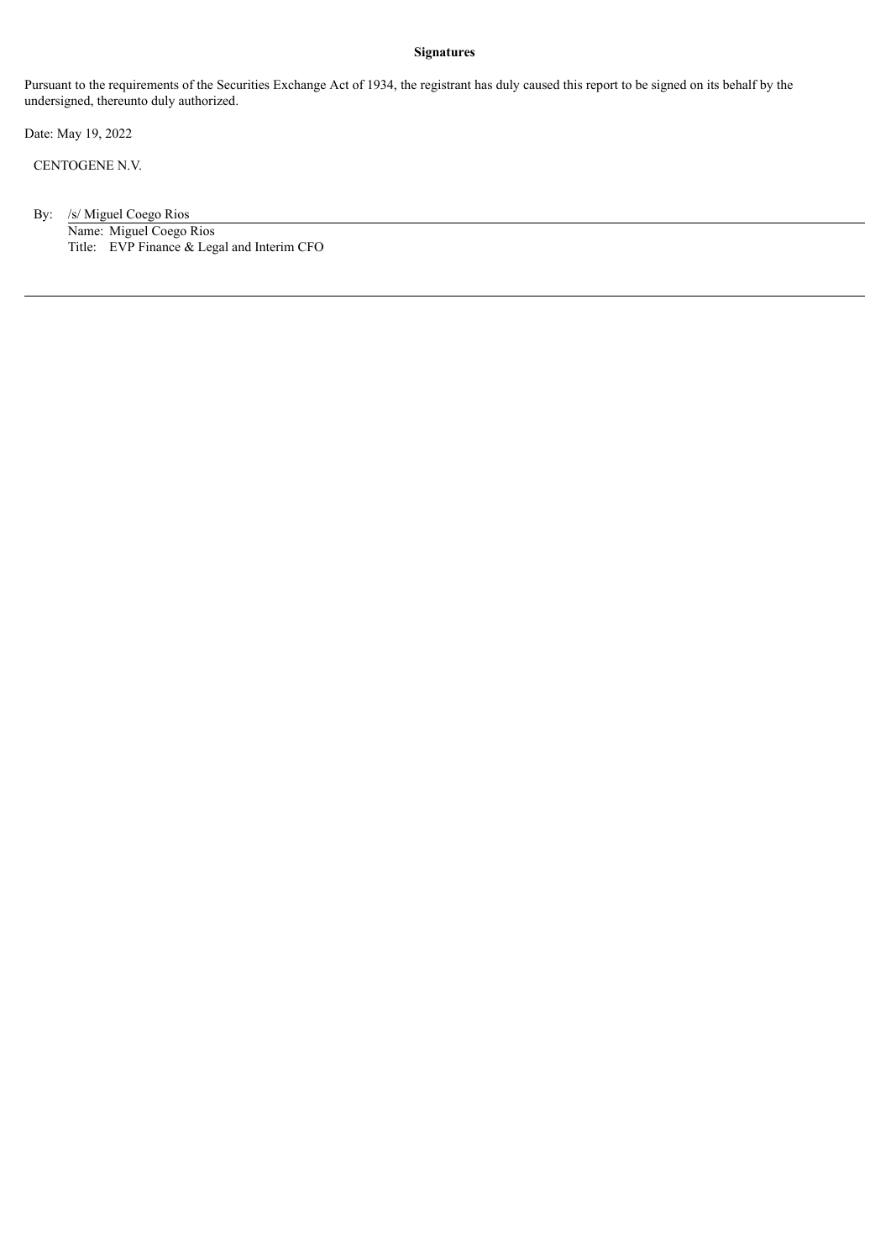### **Signatures**

Pursuant to the requirements of the Securities Exchange Act of 1934, the registrant has duly caused this report to be signed on its behalf by the undersigned, thereunto duly authorized.

Date: May 19, 2022

CENTOGENE N.V.

By: /s/ Miguel Coego Rios Name: Miguel Coego Rios Title: EVP Finance & Legal and Interim CFO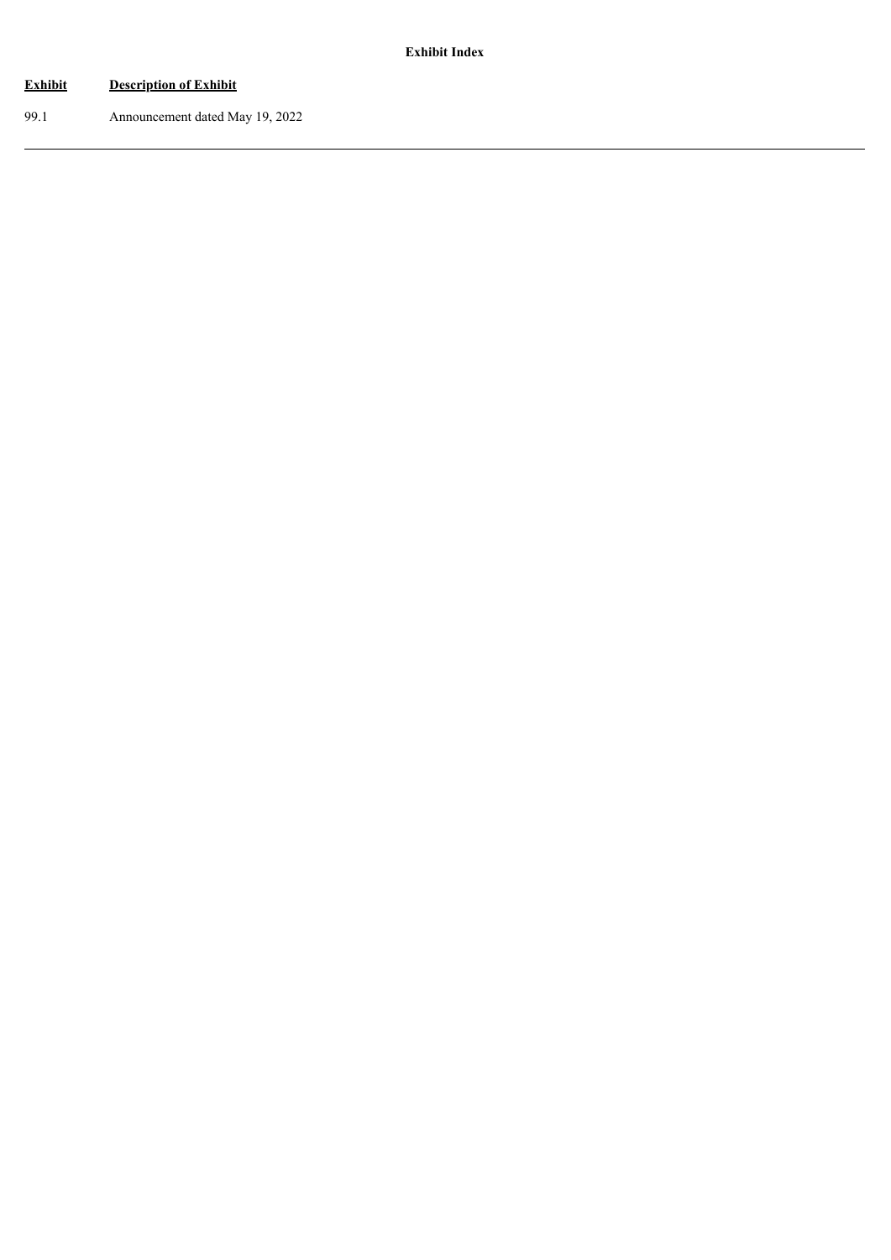# **Exhibit Description of Exhibit**

99.1 Announcement dated May 19, 2022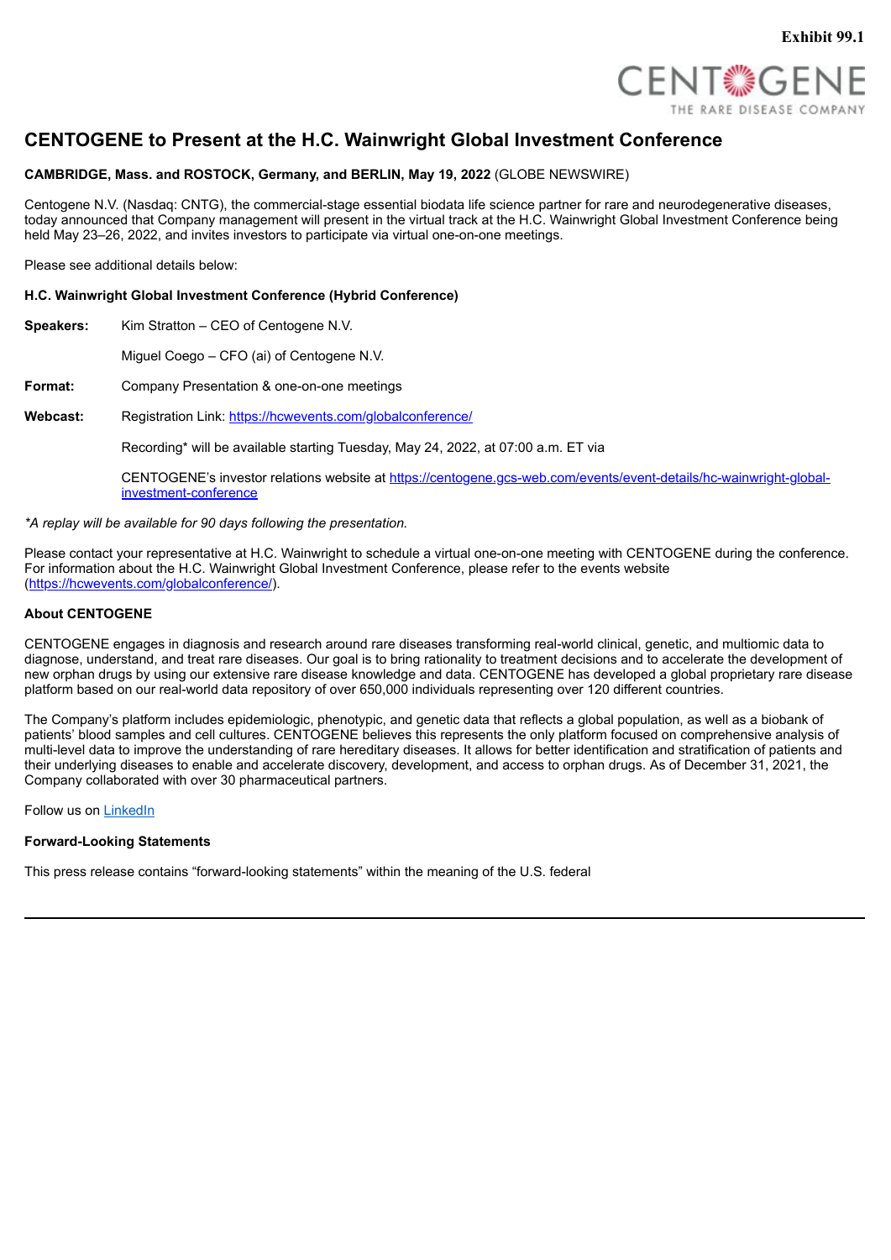

# **CENTOGENE to Present at the H.C. Wainwright Global Investment Conference**

# **CAMBRIDGE, Mass. and ROSTOCK, Germany, and BERLIN, May 19, 2022** (GLOBE NEWSWIRE)

Centogene N.V. (Nasdaq: CNTG), the commercial-stage essential biodata life science partner for rare and neurodegenerative diseases, today announced that Company management will present in the virtual track at the H.C. Wainwright Global Investment Conference being held May 23–26, 2022, and invites investors to participate via virtual one-on-one meetings.

Please see additional details below:

### **H.C. Wainwright Global Investment Conference (Hybrid Conference)**

**Speakers:** Kim Stratton – CEO of Centogene N.V.

Miguel Coego – CFO (ai) of Centogene N.V.

**Format:** Company Presentation & one-on-one meetings

Webcast: Registration Link: https://hcwevents.com/globalconference/

Recording\* will be available starting Tuesday, May 24, 2022, at 07:00 a.m. ET via

CENTOGENE's investor relations website at https://centogene.gcs-web.com/events/event-details/hc-wainwright-globalinvestment-conference

*\*A replay will be available for 90 days following the presentation.*

Please contact your representative at H.C. Wainwright to schedule a virtual one-on-one meeting with CENTOGENE during the conference. For information about the H.C. Wainwright Global Investment Conference, please refer to the events website (https://hcwevents.com/globalconference/).

### **About CENTOGENE**

CENTOGENE engages in diagnosis and research around rare diseases transforming real-world clinical, genetic, and multiomic data to diagnose, understand, and treat rare diseases. Our goal is to bring rationality to treatment decisions and to accelerate the development of new orphan drugs by using our extensive rare disease knowledge and data. CENTOGENE has developed a global proprietary rare disease platform based on our real-world data repository of over 650,000 individuals representing over 120 different countries.

The Company's platform includes epidemiologic, phenotypic, and genetic data that reflects a global population, as well as a biobank of patients' blood samples and cell cultures. CENTOGENE believes this represents the only platform focused on comprehensive analysis of multi-level data to improve the understanding of rare hereditary diseases. It allows for better identification and stratification of patients and their underlying diseases to enable and accelerate discovery, development, and access to orphan drugs. As of December 31, 2021, the Company collaborated with over 30 pharmaceutical partners.

Follow us on LinkedIn

# **Forward-Looking Statements**

This press release contains "forward-looking statements" within the meaning of the U.S. federal